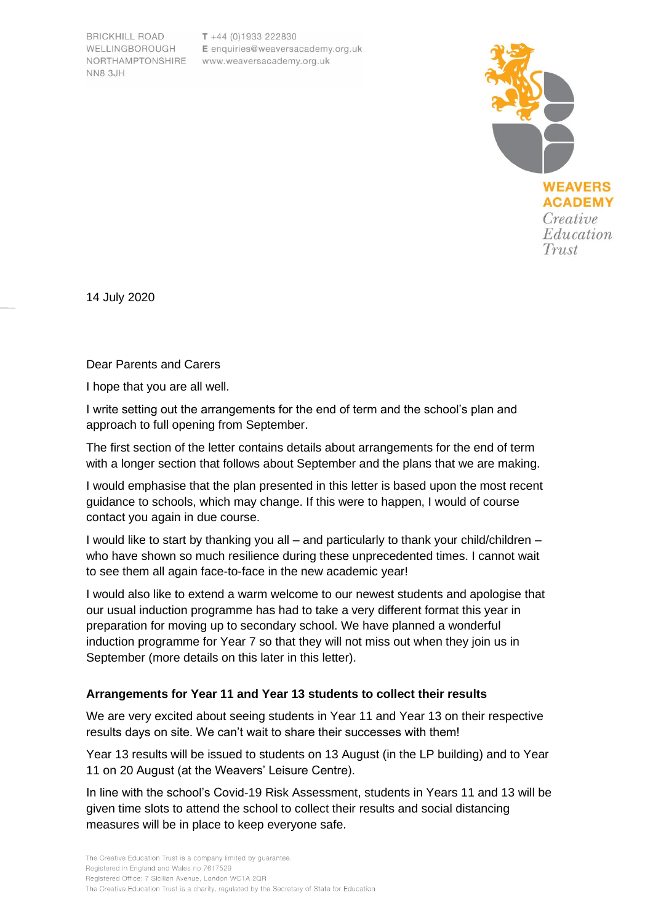**BRICKHILL ROAD** WELLINGBOROUGH **NN8 3JH** 

 $T + 44 (0)1933 222830$ E enquiries@weaversacademy.org.uk NORTHAMPTONSHIRE www.weaversacademy.org.uk



14 July 2020

Dear Parents and Carers

I hope that you are all well.

I write setting out the arrangements for the end of term and the school's plan and approach to full opening from September.

The first section of the letter contains details about arrangements for the end of term with a longer section that follows about September and the plans that we are making.

I would emphasise that the plan presented in this letter is based upon the most recent guidance to schools, which may change. If this were to happen, I would of course contact you again in due course.

I would like to start by thanking you all – and particularly to thank your child/children – who have shown so much resilience during these unprecedented times. I cannot wait to see them all again face-to-face in the new academic year!

I would also like to extend a warm welcome to our newest students and apologise that our usual induction programme has had to take a very different format this year in preparation for moving up to secondary school. We have planned a wonderful induction programme for Year 7 so that they will not miss out when they join us in September (more details on this later in this letter).

### **Arrangements for Year 11 and Year 13 students to collect their results**

We are very excited about seeing students in Year 11 and Year 13 on their respective results days on site. We can't wait to share their successes with them!

Year 13 results will be issued to students on 13 August (in the LP building) and to Year 11 on 20 August (at the Weavers' Leisure Centre).

In line with the school's Covid-19 Risk Assessment, students in Years 11 and 13 will be given time slots to attend the school to collect their results and social distancing measures will be in place to keep everyone safe.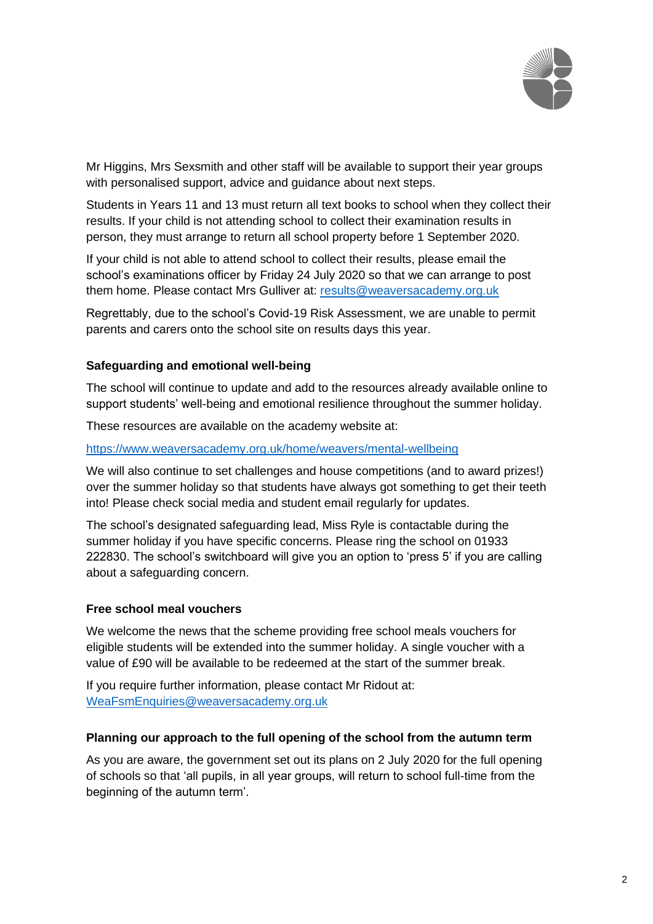

Mr Higgins, Mrs Sexsmith and other staff will be available to support their year groups with personalised support, advice and guidance about next steps.

Students in Years 11 and 13 must return all text books to school when they collect their results. If your child is not attending school to collect their examination results in person, they must arrange to return all school property before 1 September 2020.

If your child is not able to attend school to collect their results, please email the school's examinations officer by Friday 24 July 2020 so that we can arrange to post them home. Please contact Mrs Gulliver at: [results@weaversacademy.org.uk](mailto:results@weaversacademy.org.uk)

Regrettably, due to the school's Covid-19 Risk Assessment, we are unable to permit parents and carers onto the school site on results days this year.

### **Safeguarding and emotional well-being**

The school will continue to update and add to the resources already available online to support students' well-being and emotional resilience throughout the summer holiday.

These resources are available on the academy website at:

#### <https://www.weaversacademy.org.uk/home/weavers/mental-wellbeing>

We will also continue to set challenges and house competitions (and to award prizes!) over the summer holiday so that students have always got something to get their teeth into! Please check social media and student email regularly for updates.

The school's designated safeguarding lead, Miss Ryle is contactable during the summer holiday if you have specific concerns. Please ring the school on 01933 222830. The school's switchboard will give you an option to 'press 5' if you are calling about a safeguarding concern.

#### **Free school meal vouchers**

We welcome the news that the scheme providing free school meals vouchers for eligible students will be extended into the summer holiday. A single voucher with a value of £90 will be available to be redeemed at the start of the summer break.

If you require further information, please contact Mr Ridout at: [WeaFsmEnquiries@weaversacademy.org.uk](mailto:WeaFsmEnquiries@weaversacademy.org.uk)

#### **Planning our approach to the full opening of the school from the autumn term**

As you are aware, the government set out its plans on 2 July 2020 for the full opening of schools so that 'all pupils, in all year groups, will return to school full-time from the beginning of the autumn term'.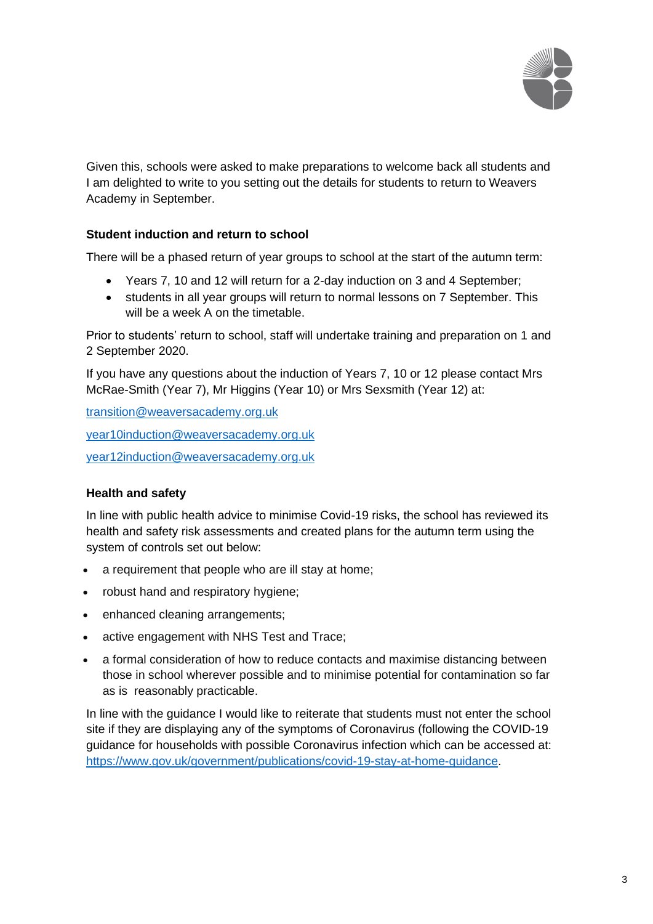

Given this, schools were asked to make preparations to welcome back all students and I am delighted to write to you setting out the details for students to return to Weavers Academy in September.

### **Student induction and return to school**

There will be a phased return of year groups to school at the start of the autumn term:

- Years 7, 10 and 12 will return for a 2-day induction on 3 and 4 September;
- students in all year groups will return to normal lessons on 7 September. This will be a week A on the timetable.

Prior to students' return to school, staff will undertake training and preparation on 1 and 2 September 2020.

If you have any questions about the induction of Years 7, 10 or 12 please contact Mrs McRae-Smith (Year 7), Mr Higgins (Year 10) or Mrs Sexsmith (Year 12) at:

[transition@weaversacademy.org.uk](mailto:transition@weaversacademy.org.uk) [year10induction@weaversacademy.org.uk](mailto:year10induction@weaversacademy.org.uk) [year12induction@weaversacademy.org.uk](mailto:year12induction@weaversacademy.org.uk)

### **Health and safety**

In line with public health advice to minimise Covid-19 risks, the school has reviewed its health and safety risk assessments and created plans for the autumn term using the system of controls set out below:

- a requirement that people who are ill stay at home;
- robust hand and respiratory hygiene;
- enhanced cleaning arrangements;
- active engagement with NHS Test and Trace;
- a formal consideration of how to reduce contacts and maximise distancing between those in school wherever possible and to minimise potential for contamination so far as is reasonably practicable.

In line with the guidance I would like to reiterate that students must not enter the school site if they are displaying any of the symptoms of Coronavirus (following the COVID-19 guidance for households with possible Coronavirus infection which can be accessed at: [https://www.gov.uk/government/publications/covid-19-stay-at-home-guidance.](https://www.gov.uk/government/publications/covid-19-stay-at-home-guidance)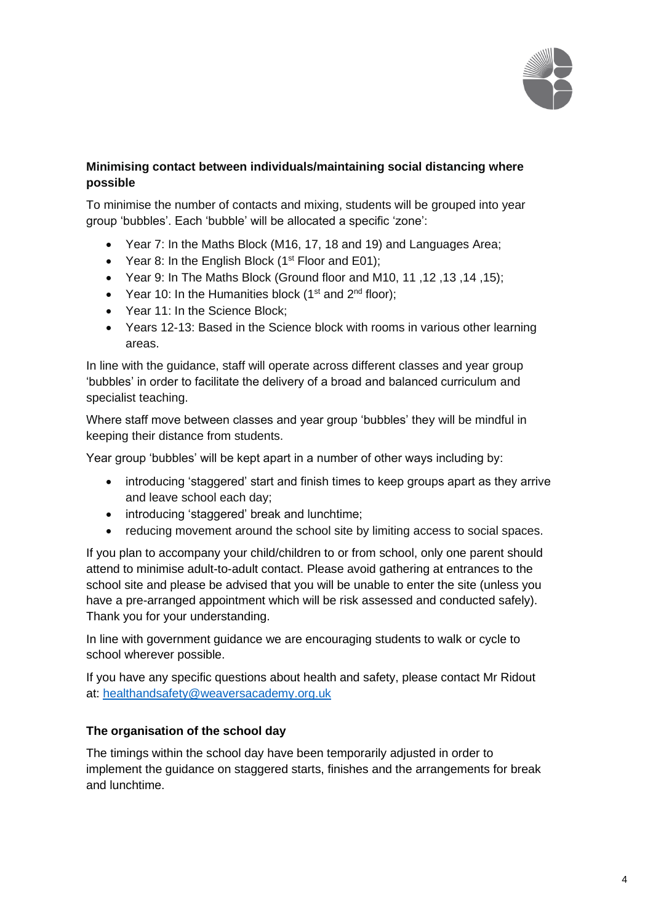

# **Minimising contact between individuals/maintaining social distancing where possible**

To minimise the number of contacts and mixing, students will be grouped into year group 'bubbles'. Each 'bubble' will be allocated a specific 'zone':

- Year 7: In the Maths Block (M16, 17, 18 and 19) and Languages Area;
- Year 8: In the English Block  $(1<sup>st</sup>$  Floor and E01);
- Year 9: In The Maths Block (Ground floor and M10, 11 ,12 ,13 ,14 ,15);
- Year 10: In the Humanities block ( $1<sup>st</sup>$  and  $2<sup>nd</sup>$  floor);
- Year 11: In the Science Block:
- Years 12-13: Based in the Science block with rooms in various other learning areas.

In line with the guidance, staff will operate across different classes and year group 'bubbles' in order to facilitate the delivery of a broad and balanced curriculum and specialist teaching.

Where staff move between classes and year group 'bubbles' they will be mindful in keeping their distance from students.

Year group 'bubbles' will be kept apart in a number of other ways including by:

- introducing 'staggered' start and finish times to keep groups apart as they arrive and leave school each day;
- introducing 'staggered' break and lunchtime;
- reducing movement around the school site by limiting access to social spaces.

If you plan to accompany your child/children to or from school, only one parent should attend to minimise adult-to-adult contact. Please avoid gathering at entrances to the school site and please be advised that you will be unable to enter the site (unless you have a pre-arranged appointment which will be risk assessed and conducted safely). Thank you for your understanding.

In line with government guidance we are encouraging students to walk or cycle to school wherever possible.

If you have any specific questions about health and safety, please contact Mr Ridout at: [healthandsafety@weaversacademy.org.uk](mailto:healthandsafety@weaversacademy.org.uk)

# **The organisation of the school day**

The timings within the school day have been temporarily adjusted in order to implement the guidance on staggered starts, finishes and the arrangements for break and lunchtime.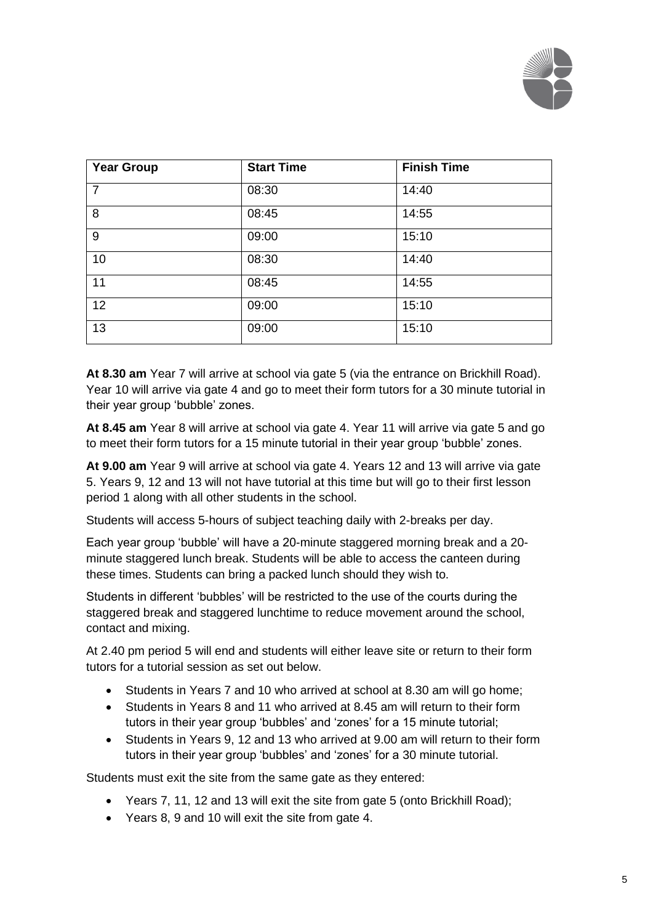

| <b>Year Group</b> | <b>Start Time</b> | <b>Finish Time</b> |
|-------------------|-------------------|--------------------|
| $\overline{7}$    | 08:30             | 14:40              |
| 8                 | 08:45             | 14:55              |
| 9                 | 09:00             | 15:10              |
| 10                | 08:30             | 14:40              |
| 11                | 08:45             | 14:55              |
| 12                | 09:00             | 15:10              |
| 13                | 09:00             | 15:10              |

**At 8.30 am** Year 7 will arrive at school via gate 5 (via the entrance on Brickhill Road). Year 10 will arrive via gate 4 and go to meet their form tutors for a 30 minute tutorial in their year group 'bubble' zones.

**At 8.45 am** Year 8 will arrive at school via gate 4. Year 11 will arrive via gate 5 and go to meet their form tutors for a 15 minute tutorial in their year group 'bubble' zones.

**At 9.00 am** Year 9 will arrive at school via gate 4. Years 12 and 13 will arrive via gate 5. Years 9, 12 and 13 will not have tutorial at this time but will go to their first lesson period 1 along with all other students in the school.

Students will access 5-hours of subject teaching daily with 2-breaks per day.

Each year group 'bubble' will have a 20-minute staggered morning break and a 20 minute staggered lunch break. Students will be able to access the canteen during these times. Students can bring a packed lunch should they wish to.

Students in different 'bubbles' will be restricted to the use of the courts during the staggered break and staggered lunchtime to reduce movement around the school, contact and mixing.

At 2.40 pm period 5 will end and students will either leave site or return to their form tutors for a tutorial session as set out below.

- Students in Years 7 and 10 who arrived at school at 8.30 am will go home;
- Students in Years 8 and 11 who arrived at 8.45 am will return to their form tutors in their year group 'bubbles' and 'zones' for a 15 minute tutorial;
- Students in Years 9, 12 and 13 who arrived at 9.00 am will return to their form tutors in their year group 'bubbles' and 'zones' for a 30 minute tutorial.

Students must exit the site from the same gate as they entered:

- Years 7, 11, 12 and 13 will exit the site from gate 5 (onto Brickhill Road);
- Years 8, 9 and 10 will exit the site from gate 4.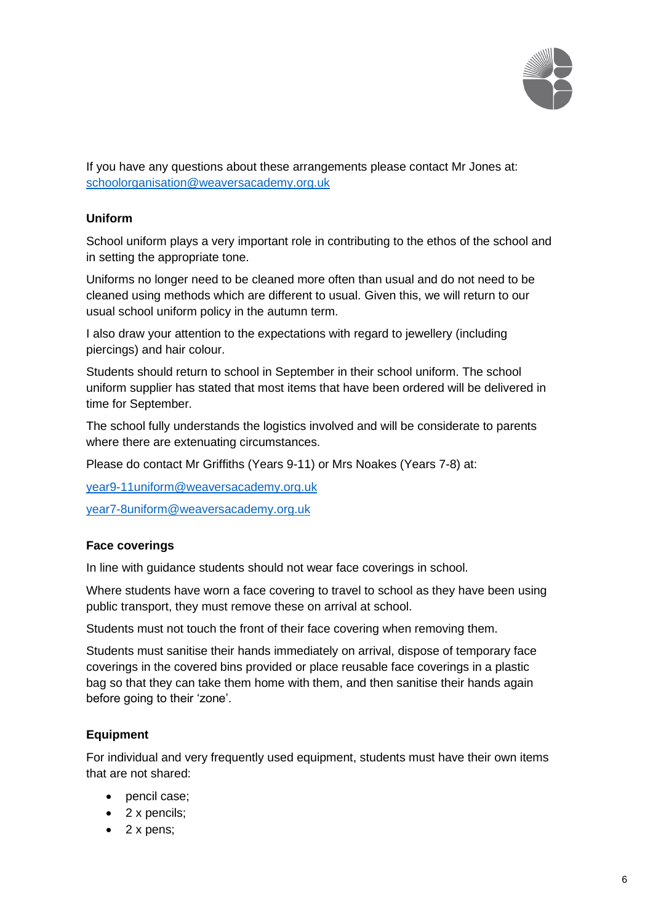

If you have any questions about these arrangements please contact Mr Jones at: [schoolorganisation@weaversacademy.org.uk](mailto:schoolorganisation@weaversacademy.org.uk)

## **Uniform**

School uniform plays a very important role in contributing to the ethos of the school and in setting the appropriate tone.

Uniforms no longer need to be cleaned more often than usual and do not need to be cleaned using methods which are different to usual. Given this, we will return to our usual school uniform policy in the autumn term.

I also draw your attention to the expectations with regard to jewellery (including piercings) and hair colour.

Students should return to school in September in their school uniform. The school uniform supplier has stated that most items that have been ordered will be delivered in time for September.

The school fully understands the logistics involved and will be considerate to parents where there are extenuating circumstances.

Please do contact Mr Griffiths (Years 9-11) or Mrs Noakes (Years 7-8) at:

[year9-11uniform@weaversacademy.org.uk](mailto:year9-11uniform@weaversacademy.org.uk)

[year7-8uniform@weaversacademy.org.uk](mailto:year7-8uniform@weaversacademy.org.uk)

### **Face coverings**

In line with guidance students should not wear face coverings in school.

Where students have worn a face covering to travel to school as they have been using public transport, they must remove these on arrival at school.

Students must not touch the front of their face covering when removing them.

Students must sanitise their hands immediately on arrival, dispose of temporary face coverings in the covered bins provided or place reusable face coverings in a plastic bag so that they can take them home with them, and then sanitise their hands again before going to their 'zone'.

### **Equipment**

For individual and very frequently used equipment, students must have their own items that are not shared:

- pencil case;
- 2 x pencils:
- 2 x pens;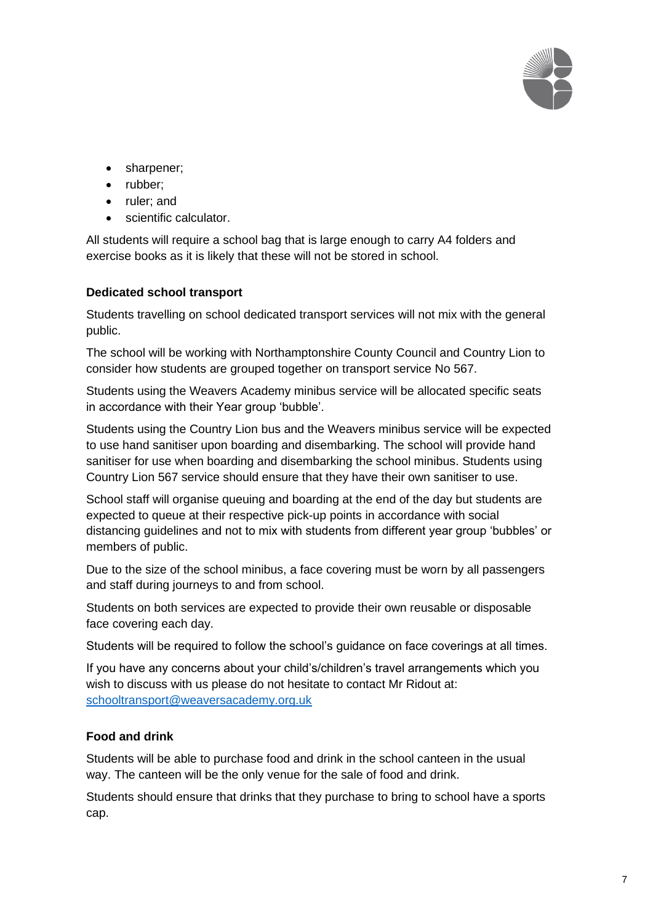

- sharpener;
- rubber;
- ruler; and
- scientific calculator.

All students will require a school bag that is large enough to carry A4 folders and exercise books as it is likely that these will not be stored in school.

### **Dedicated school transport**

Students travelling on school dedicated transport services will not mix with the general public.

The school will be working with Northamptonshire County Council and Country Lion to consider how students are grouped together on transport service No 567.

Students using the Weavers Academy minibus service will be allocated specific seats in accordance with their Year group 'bubble'.

Students using the Country Lion bus and the Weavers minibus service will be expected to use hand sanitiser upon boarding and disembarking. The school will provide hand sanitiser for use when boarding and disembarking the school minibus. Students using Country Lion 567 service should ensure that they have their own sanitiser to use.

School staff will organise queuing and boarding at the end of the day but students are expected to queue at their respective pick-up points in accordance with social distancing guidelines and not to mix with students from different year group 'bubbles' or members of public.

Due to the size of the school minibus, a face covering must be worn by all passengers and staff during journeys to and from school.

Students on both services are expected to provide their own reusable or disposable face covering each day.

Students will be required to follow the school's guidance on face coverings at all times.

If you have any concerns about your child's/children's travel arrangements which you wish to discuss with us please do not hesitate to contact Mr Ridout at: [schooltransport@weaversacademy.org.uk](mailto:schooltransport@weaversacademy.org.uk)

# **Food and drink**

Students will be able to purchase food and drink in the school canteen in the usual way. The canteen will be the only venue for the sale of food and drink.

Students should ensure that drinks that they purchase to bring to school have a sports cap.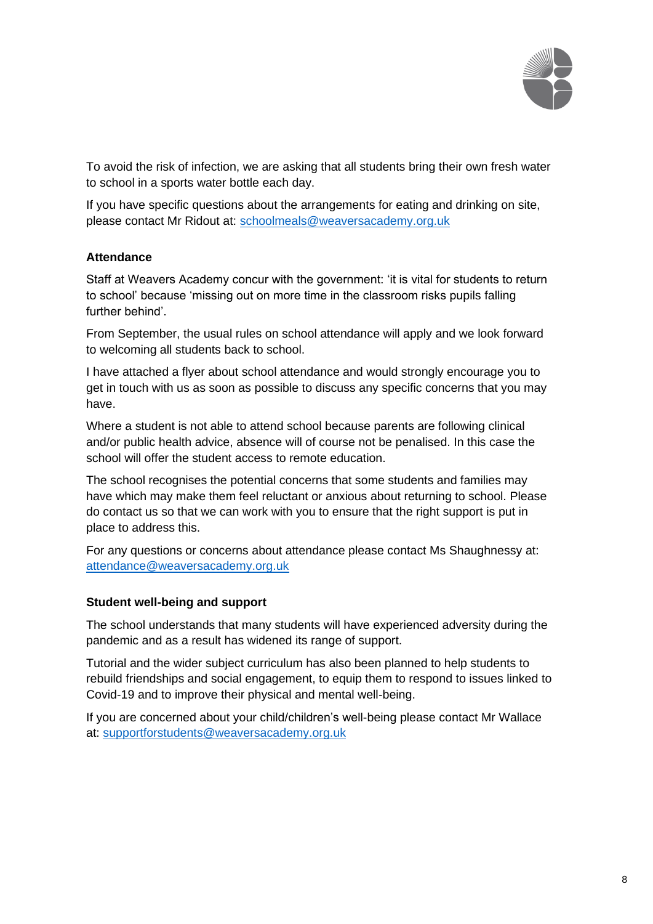

To avoid the risk of infection, we are asking that all students bring their own fresh water to school in a sports water bottle each day.

If you have specific questions about the arrangements for eating and drinking on site, please contact Mr Ridout at: [schoolmeals@weaversacademy.org.uk](mailto:schoolmeals@weaversacademy.org.uk)

# **Attendance**

Staff at Weavers Academy concur with the government: 'it is vital for students to return to school' because 'missing out on more time in the classroom risks pupils falling further behind'.

From September, the usual rules on school attendance will apply and we look forward to welcoming all students back to school.

I have attached a flyer about school attendance and would strongly encourage you to get in touch with us as soon as possible to discuss any specific concerns that you may have.

Where a student is not able to attend school because parents are following clinical and/or public health advice, absence will of course not be penalised. In this case the school will offer the student access to remote education.

The school recognises the potential concerns that some students and families may have which may make them feel reluctant or anxious about returning to school. Please do contact us so that we can work with you to ensure that the right support is put in place to address this.

For any questions or concerns about attendance please contact Ms Shaughnessy at: [attendance@weaversacademy.org.uk](mailto:attendance@weaversacademy.org.uk)

### **Student well-being and support**

The school understands that many students will have experienced adversity during the pandemic and as a result has widened its range of support.

Tutorial and the wider subject curriculum has also been planned to help students to rebuild friendships and social engagement, to equip them to respond to issues linked to Covid-19 and to improve their physical and mental well-being.

If you are concerned about your child/children's well-being please contact Mr Wallace at: [supportforstudents@weaversacademy.org.uk](mailto:supportforstudents@weaversacademy.org.uk)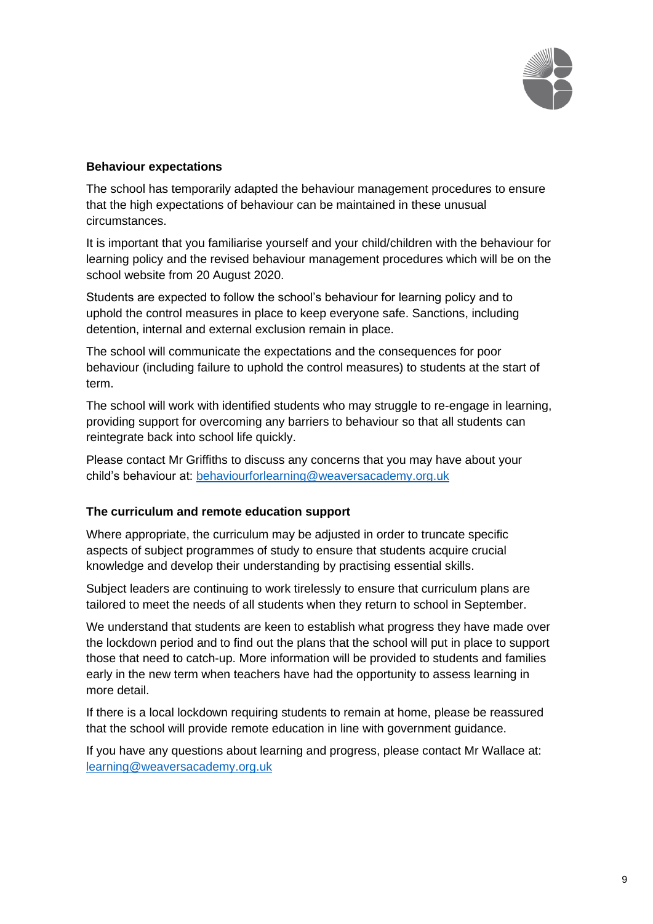

### **Behaviour expectations**

The school has temporarily adapted the behaviour management procedures to ensure that the high expectations of behaviour can be maintained in these unusual circumstances.

It is important that you familiarise yourself and your child/children with the behaviour for learning policy and the revised behaviour management procedures which will be on the school website from 20 August 2020.

Students are expected to follow the school's behaviour for learning policy and to uphold the control measures in place to keep everyone safe. Sanctions, including detention, internal and external exclusion remain in place.

The school will communicate the expectations and the consequences for poor behaviour (including failure to uphold the control measures) to students at the start of term.

The school will work with identified students who may struggle to re-engage in learning, providing support for overcoming any barriers to behaviour so that all students can reintegrate back into school life quickly.

Please contact Mr Griffiths to discuss any concerns that you may have about your child's behaviour at: [behaviourforlearning@weaversacademy.org.uk](mailto:behaviourforlearning@weaversacademy.org.uk)

### **The curriculum and remote education support**

Where appropriate, the curriculum may be adjusted in order to truncate specific aspects of subject programmes of study to ensure that students acquire crucial knowledge and develop their understanding by practising essential skills.

Subject leaders are continuing to work tirelessly to ensure that curriculum plans are tailored to meet the needs of all students when they return to school in September.

We understand that students are keen to establish what progress they have made over the lockdown period and to find out the plans that the school will put in place to support those that need to catch-up. More information will be provided to students and families early in the new term when teachers have had the opportunity to assess learning in more detail.

If there is a local lockdown requiring students to remain at home, please be reassured that the school will provide remote education in line with government guidance.

If you have any questions about learning and progress, please contact Mr Wallace at: [learning@weaversacademy.org.uk](mailto:learning@weaversacademy.org.uk)